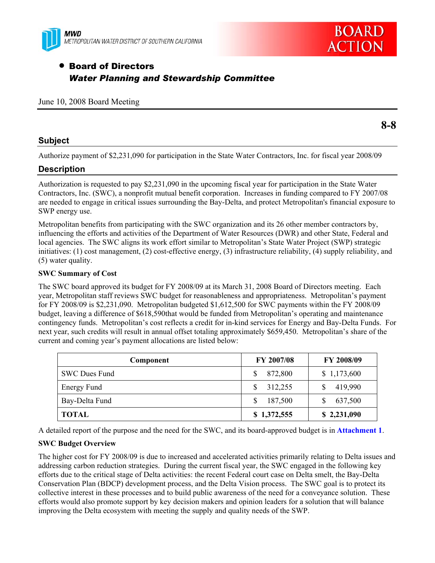



# • Board of Directors *Water Planning and Stewardship Committee*

### June 10, 2008 Board Meeting

### **Subject**

Authorize payment of \$2,231,090 for participation in the State Water Contractors, Inc. for fiscal year 2008/09

## **Description**

Authorization is requested to pay \$2,231,090 in the upcoming fiscal year for participation in the State Water Contractors, Inc. (SWC), a nonprofit mutual benefit corporation. Increases in funding compared to FY 2007/08 are needed to engage in critical issues surrounding the Bay-Delta, and protect Metropolitan's financial exposure to SWP energy use.

Metropolitan benefits from participating with the SWC organization and its 26 other member contractors by, influencing the efforts and activities of the Department of Water Resources (DWR) and other State, Federal and local agencies. The SWC aligns its work effort similar to Metropolitan's State Water Project (SWP) strategic initiatives: (1) cost management, (2) cost-effective energy, (3) infrastructure reliability, (4) supply reliability, and (5) water quality.

### **SWC Summary of Cost**

The SWC board approved its budget for FY 2008/09 at its March 31, 2008 Board of Directors meeting. Each year, Metropolitan staff reviews SWC budget for reasonableness and appropriateness. Metropolitan's payment for FY 2008/09 is \$2,231,090. Metropolitan budgeted \$1,612,500 for SWC payments within the FY 2008/09 budget, leaving a difference of \$618,590that would be funded from Metropolitan's operating and maintenance contingency funds. Metropolitan's cost reflects a credit for in-kind services for Energy and Bay-Delta Funds. For next year, such credits will result in annual offset totaling approximately \$659,450. Metropolitan's share of the current and coming year's payment allocations are listed below:

| Component            | FY 2007/08               | FY 2008/09  |
|----------------------|--------------------------|-------------|
| <b>SWC Dues Fund</b> | 872,800                  | \$1,173,600 |
| Energy Fund          | 312,255                  | 419,990     |
| Bay-Delta Fund       | 187,500<br><sup>\$</sup> | 637,500     |
| <b>TOTAL</b>         | \$1,372,555              | \$2,231,090 |

A detailed report of the purpose and the need for the SWC, and its board-approved budget is in **Attachment 1**.

### **SWC Budget Overview**

The higher cost for FY 2008/09 is due to increased and accelerated activities primarily relating to Delta issues and addressing carbon reduction strategies. During the current fiscal year, the SWC engaged in the following key efforts due to the critical stage of Delta activities: the recent Federal court case on Delta smelt, the Bay-Delta Conservation Plan (BDCP) development process, and the Delta Vision process. The SWC goal is to protect its collective interest in these processes and to build public awareness of the need for a conveyance solution. These efforts would also promote support by key decision makers and opinion leaders for a solution that will balance improving the Delta ecosystem with meeting the supply and quality needs of the SWP.

**8-8**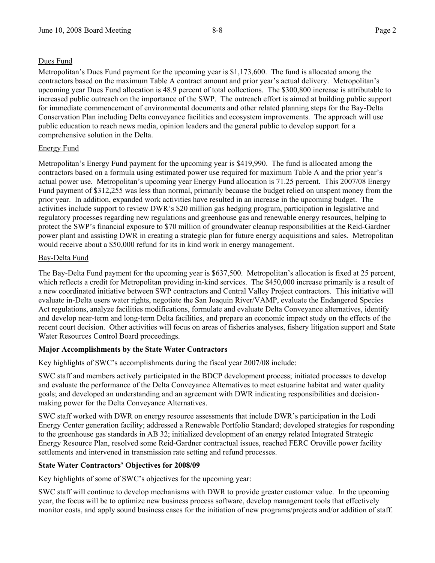### Dues Fund

Metropolitan's Dues Fund payment for the upcoming year is \$1,173,600. The fund is allocated among the contractors based on the maximum Table A contract amount and prior year's actual delivery. Metropolitan's upcoming year Dues Fund allocation is 48.9 percent of total collections. The \$300,800 increase is attributable to increased public outreach on the importance of the SWP. The outreach effort is aimed at building public support for immediate commencement of environmental documents and other related planning steps for the Bay-Delta Conservation Plan including Delta conveyance facilities and ecosystem improvements. The approach will use public education to reach news media, opinion leaders and the general public to develop support for a comprehensive solution in the Delta.

### Energy Fund

Metropolitan's Energy Fund payment for the upcoming year is \$419,990. The fund is allocated among the contractors based on a formula using estimated power use required for maximum Table A and the prior year's actual power use. Metropolitan's upcoming year Energy Fund allocation is 71.25 percent. This 2007/08 Energy Fund payment of \$312,255 was less than normal, primarily because the budget relied on unspent money from the prior year. In addition, expanded work activities have resulted in an increase in the upcoming budget. The activities include support to review DWR's \$20 million gas hedging program, participation in legislative and regulatory processes regarding new regulations and greenhouse gas and renewable energy resources, helping to protect the SWP's financial exposure to \$70 million of groundwater cleanup responsibilities at the Reid-Gardner power plant and assisting DWR in creating a strategic plan for future energy acquisitions and sales. Metropolitan would receive about a \$50,000 refund for its in kind work in energy management.

### Bay-Delta Fund

The Bay-Delta Fund payment for the upcoming year is \$637,500. Metropolitan's allocation is fixed at 25 percent, which reflects a credit for Metropolitan providing in-kind services. The \$450,000 increase primarily is a result of a new coordinated initiative between SWP contractors and Central Valley Project contractors. This initiative will evaluate in-Delta users water rights, negotiate the San Joaquin River/VAMP, evaluate the Endangered Species Act regulations, analyze facilities modifications, formulate and evaluate Delta Conveyance alternatives, identify and develop near-term and long-term Delta facilities, and prepare an economic impact study on the effects of the recent court decision. Other activities will focus on areas of fisheries analyses, fishery litigation support and State Water Resources Control Board proceedings.

### **Major Accomplishments by the State Water Contractors**

Key highlights of SWC's accomplishments during the fiscal year 2007/08 include:

SWC staff and members actively participated in the BDCP development process; initiated processes to develop and evaluate the performance of the Delta Conveyance Alternatives to meet estuarine habitat and water quality goals; and developed an understanding and an agreement with DWR indicating responsibilities and decisionmaking power for the Delta Conveyance Alternatives.

SWC staff worked with DWR on energy resource assessments that include DWR's participation in the Lodi Energy Center generation facility; addressed a Renewable Portfolio Standard; developed strategies for responding to the greenhouse gas standards in AB 32; initialized development of an energy related Integrated Strategic Energy Resource Plan, resolved some Reid-Gardner contractual issues, reached FERC Oroville power facility settlements and intervened in transmission rate setting and refund processes.

### **State Water Contractors' Objectives for 2008/09**

Key highlights of some of SWC's objectives for the upcoming year:

SWC staff will continue to develop mechanisms with DWR to provide greater customer value. In the upcoming year, the focus will be to optimize new business process software, develop management tools that effectively monitor costs, and apply sound business cases for the initiation of new programs/projects and/or addition of staff.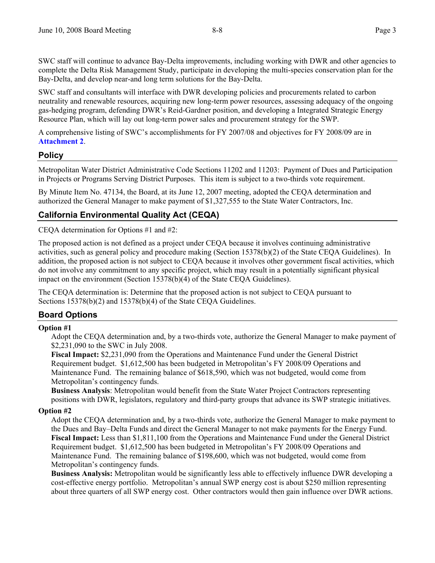SWC staff will continue to advance Bay-Delta improvements, including working with DWR and other agencies to complete the Delta Risk Management Study, participate in developing the multi-species conservation plan for the Bay-Delta, and develop near-and long term solutions for the Bay-Delta.

SWC staff and consultants will interface with DWR developing policies and procurements related to carbon neutrality and renewable resources, acquiring new long-term power resources, assessing adequacy of the ongoing gas-hedging program, defending DWR's Reid-Gardner position, and developing a Integrated Strategic Energy Resource Plan, which will lay out long-term power sales and procurement strategy for the SWP.

A comprehensive listing of SWC's accomplishments for FY 2007/08 and objectives for FY 2008/09 are in **Attachment 2**.

## **Policy**

Metropolitan Water District Administrative Code Sections 11202 and 11203: Payment of Dues and Participation in Projects or Programs Serving District Purposes. This item is subject to a two-thirds vote requirement.

By Minute Item No. 47134, the Board, at its June 12, 2007 meeting, adopted the CEQA determination and authorized the General Manager to make payment of \$1,327,555 to the State Water Contractors, Inc.

## **California Environmental Quality Act (CEQA)**

CEQA determination for Options #1 and #2:

The proposed action is not defined as a project under CEQA because it involves continuing administrative activities, such as general policy and procedure making (Section 15378(b)(2) of the State CEQA Guidelines). In addition, the proposed action is not subject to CEQA because it involves other government fiscal activities, which do not involve any commitment to any specific project, which may result in a potentially significant physical impact on the environment (Section 15378(b)(4) of the State CEQA Guidelines).

The CEQA determination is: Determine that the proposed action is not subject to CEQA pursuant to Sections 15378(b)(2) and 15378(b)(4) of the State CEQA Guidelines.

## **Board Options**

#### **Option #1**

Adopt the CEQA determination and, by a two-thirds vote, authorize the General Manager to make payment of \$2,231,090 to the SWC in July 2008.

**Fiscal Impact:** \$2,231,090 from the Operations and Maintenance Fund under the General District Requirement budget. \$1,612,500 has been budgeted in Metropolitan's FY 2008/09 Operations and Maintenance Fund. The remaining balance of \$618,590, which was not budgeted, would come from Metropolitan's contingency funds.

**Business Analysis**: Metropolitan would benefit from the State Water Project Contractors representing positions with DWR, legislators, regulatory and third-party groups that advance its SWP strategic initiatives.

### **Option #2**

Adopt the CEQA determination and, by a two-thirds vote, authorize the General Manager to make payment to the Dues and Bay–Delta Funds and direct the General Manager to not make payments for the Energy Fund. **Fiscal Impact:** Less than \$1,811,100 from the Operations and Maintenance Fund under the General District Requirement budget. \$1,612,500 has been budgeted in Metropolitan's FY 2008/09 Operations and Maintenance Fund. The remaining balance of \$198,600, which was not budgeted, would come from Metropolitan's contingency funds.

**Business Analysis:** Metropolitan would be significantly less able to effectively influence DWR developing a cost-effective energy portfolio. Metropolitan's annual SWP energy cost is about \$250 million representing about three quarters of all SWP energy cost. Other contractors would then gain influence over DWR actions.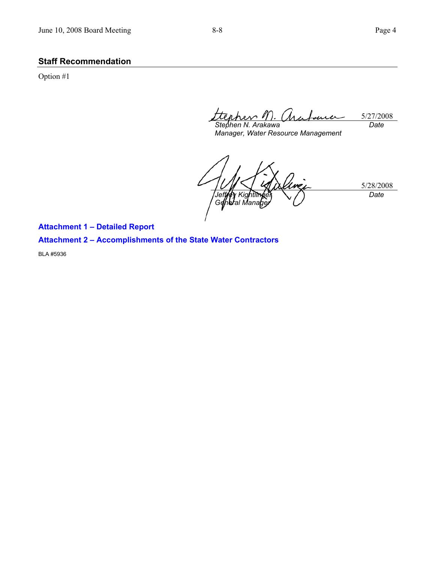Option #1

5/27/2008 *Stephen N. Arakawa Date* 

*Manager, Water Resource Management* 

5/28/2008 *Jeffrey Kig* G**e**lh**e**ral Mana *Date* 

**Attachment 1 – Detailed Report** 

## **Attachment 2 – Accomplishments of the State Water Contractors**

BLA #5936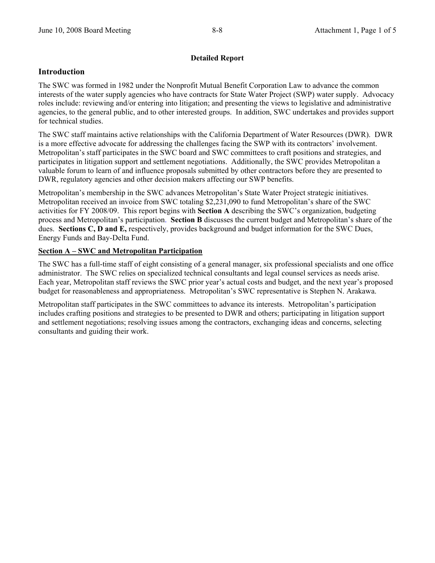### **Detailed Report**

### **Introduction**

The SWC was formed in 1982 under the Nonprofit Mutual Benefit Corporation Law to advance the common interests of the water supply agencies who have contracts for State Water Project (SWP) water supply. Advocacy roles include: reviewing and/or entering into litigation; and presenting the views to legislative and administrative agencies, to the general public, and to other interested groups. In addition, SWC undertakes and provides support for technical studies.

The SWC staff maintains active relationships with the California Department of Water Resources (DWR). DWR is a more effective advocate for addressing the challenges facing the SWP with its contractors' involvement. Metropolitan's staff participates in the SWC board and SWC committees to craft positions and strategies, and participates in litigation support and settlement negotiations. Additionally, the SWC provides Metropolitan a valuable forum to learn of and influence proposals submitted by other contractors before they are presented to DWR, regulatory agencies and other decision makers affecting our SWP benefits.

Metropolitan's membership in the SWC advances Metropolitan's State Water Project strategic initiatives. Metropolitan received an invoice from SWC totaling \$2,231,090 to fund Metropolitan's share of the SWC activities for FY 2008/09. This report begins with **Section A** describing the SWC's organization, budgeting process and Metropolitan's participation. **Section B** discusses the current budget and Metropolitan's share of the dues. **Sections C, D and E,** respectively, provides background and budget information for the SWC Dues, Energy Funds and Bay-Delta Fund.

### **Section A – SWC and Metropolitan Participation**

The SWC has a full-time staff of eight consisting of a general manager, six professional specialists and one office administrator. The SWC relies on specialized technical consultants and legal counsel services as needs arise. Each year, Metropolitan staff reviews the SWC prior year's actual costs and budget, and the next year's proposed budget for reasonableness and appropriateness. Metropolitan's SWC representative is Stephen N. Arakawa.

Metropolitan staff participates in the SWC committees to advance its interests. Metropolitan's participation includes crafting positions and strategies to be presented to DWR and others; participating in litigation support and settlement negotiations; resolving issues among the contractors, exchanging ideas and concerns, selecting consultants and guiding their work.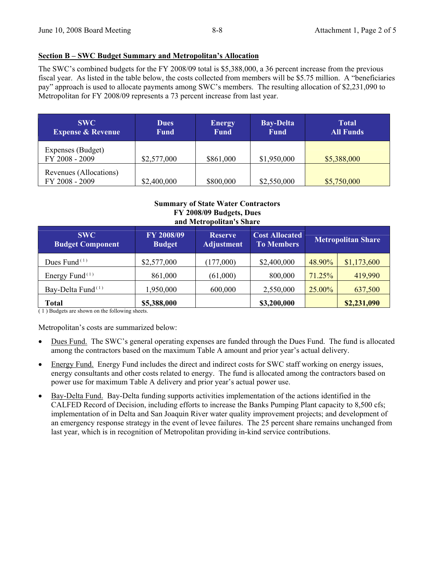#### **Section B – SWC Budget Summary and Metropolitan's Allocation**

The SWC's combined budgets for the FY 2008/09 total is \$5,388,000, a 36 percent increase from the previous fiscal year. As listed in the table below, the costs collected from members will be \$5.75 million. A "beneficiaries pay" approach is used to allocate payments among SWC's members. The resulting allocation of \$2,231,090 to Metropolitan for FY 2008/09 represents a 73 percent increase from last year.

| <b>SWC</b><br><b>Expense &amp; Revenue</b> | <b>Dues</b><br><b>Fund</b> | <b>Energy</b><br><b>Fund</b> | <b>Bay-Delta</b><br><b>Fund</b> | Total<br><b>All Funds</b> |
|--------------------------------------------|----------------------------|------------------------------|---------------------------------|---------------------------|
| Expenses (Budget)<br>FY 2008 - 2009        | \$2,577,000                | \$861,000                    | \$1,950,000                     | \$5,388,000               |
| Revenues (Allocations)<br>FY 2008 - 2009   | \$2,400,000                | \$800,000                    | \$2,550,000                     | \$5,750,000               |

#### **Summary of State Water Contractors FY 2008/09 Budgets, Dues and Metropolitan's Share**

| <b>SWC</b><br><b>Budget Component</b>   | FY 2008/09<br><b>Budget</b> | <b>Reserve</b><br><b>Adjustment</b> | <b>Cost Allocated</b><br><b>To Members</b> | <b>Metropolitan Share</b> |             |
|-----------------------------------------|-----------------------------|-------------------------------------|--------------------------------------------|---------------------------|-------------|
| Dues Fund $(1)$                         | \$2,577,000                 | (177,000)                           | \$2,400,000                                | 48.90%                    | \$1,173,600 |
| Energy Fund <sup><math>(1)</math></sup> | 861,000                     | (61,000)                            | 800,000                                    | 71.25%                    | 419,990     |
| Bay-Delta Fund <sup>(1)</sup>           | 1,950,000                   | 600,000                             | 2,550,000                                  | 25.00%                    | 637,500     |
| Total                                   | \$5,388,000                 |                                     | \$3,200,000                                |                           | \$2,231,090 |

 $(1)$  Budgets are shown on the following sheets.

Metropolitan's costs are summarized below:

- Dues Fund. The SWC's general operating expenses are funded through the Dues Fund. The fund is allocated among the contractors based on the maximum Table A amount and prior year's actual delivery.
- Energy Fund. Energy Fund includes the direct and indirect costs for SWC staff working on energy issues, energy consultants and other costs related to energy. The fund is allocated among the contractors based on power use for maximum Table A delivery and prior year's actual power use.
- Bay-Delta Fund. Bay-Delta funding supports activities implementation of the actions identified in the CALFED Record of Decision, including efforts to increase the Banks Pumping Plant capacity to 8,500 cfs; implementation of in Delta and San Joaquin River water quality improvement projects; and development of an emergency response strategy in the event of levee failures. The 25 percent share remains unchanged from last year, which is in recognition of Metropolitan providing in-kind service contributions.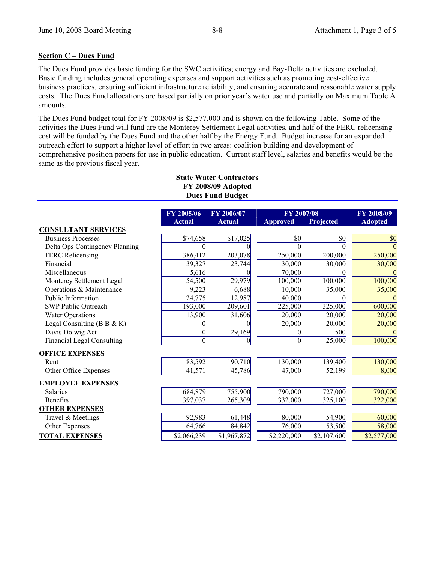#### **Section C – Dues Fund**

The Dues Fund provides basic funding for the SWC activities; energy and Bay-Delta activities are excluded. Basic funding includes general operating expenses and support activities such as promoting cost-effective business practices, ensuring sufficient infrastructure reliability, and ensuring accurate and reasonable water supply costs. The Dues Fund allocations are based partially on prior year's water use and partially on Maximum Table A amounts.

The Dues Fund budget total for FY 2008/09 is \$2,577,000 and is shown on the following Table. Some of the activities the Dues Fund will fund are the Monterey Settlement Legal activities, and half of the FERC relicensing cost will be funded by the Dues Fund and the other half by the Energy Fund. Budget increase for an expanded outreach effort to support a higher level of effort in two areas: coalition building and development of comprehensive position papers for use in public education. Current staff level, salaries and benefits would be the same as the previous fiscal year.

### **State Water Contractors FY 2008/09 Adopted Dues Fund Budget**

|                                   | FY 2005/06    | FY 2006/07    | FY 2007/08      |             | FY 2008/09     |
|-----------------------------------|---------------|---------------|-----------------|-------------|----------------|
|                                   | <b>Actual</b> | <b>Actual</b> | <b>Approved</b> | Projected   | <b>Adopted</b> |
| <b>CONSULTANT SERVICES</b>        |               |               |                 |             |                |
| <b>Business Processes</b>         | \$74,658      | \$17,025      | \$0             | \$0         | \$0            |
| Delta Ops Contingency Planning    |               |               |                 |             |                |
| <b>FERC Relicensing</b>           | 386,412       | 203,078       | 250,000         | 200,000     | 250,000        |
| Financial                         | 39,327        | 23,744        | 30,000          | 30,000      | 30,000         |
| Miscellaneous                     | 5,616         |               | 70,000          |             |                |
| Monterey Settlement Legal         | 54,500        | 29,979        | 100,000         | 100,000     | 100,000        |
| Operations & Maintenance          | 9,223         | 6,688         | 10,000          | 35,000      | 35,000         |
| Public Information                | 24,775        | 12,987        | 40,000          |             |                |
| <b>SWP Public Outreach</b>        | 193,000       | 209,601       | 225,000         | 325,000     | 600,000        |
| <b>Water Operations</b>           | 13,900        | 31,606        | 20,000          | 20,000      | 20,000         |
| Legal Consulting ( $B B & K$ )    |               |               | 20,000          | 20,000      | 20,000         |
| Davis Dolwig Act                  |               | 29,169        |                 | 500         |                |
| <b>Financial Legal Consulting</b> |               | 0             | $\theta$        | 25,000      | 100,000        |
| <b>OFFICE EXPENSES</b>            |               |               |                 |             |                |
| Rent                              | 83,592        | 190,710       | 130,000         | 139,400     | 130,000        |
| Other Office Expenses             | 41,571        | 45,786        | 47,000          | 52,199      | 8,000          |
| <b>EMPLOYEE EXPENSES</b>          |               |               |                 |             |                |
| <b>Salaries</b>                   | 684,879       | 755,900       | 790,000         | 727,000     | 790,000        |
| Benefits                          | 397,037       | 265,309       | 332,000         | 325,100     | 322,000        |
| <b>OTHER EXPENSES</b>             |               |               |                 |             |                |
| Travel & Meetings                 | 92,983        | 61,448        | 80,000          | 54,900      | 60,000         |
| Other Expenses                    | 64,766        | 84,842        | 76,000          | 53,500      | 58,000         |
| <b>TOTAL EXPENSES</b>             | \$2,066,239   | \$1,967,872   | \$2,220,000     | \$2,107,600 | \$2,577,000    |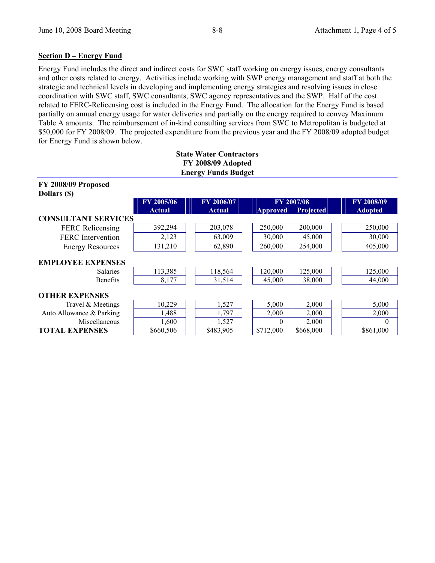### **Section D – Energy Fund**

Energy Fund includes the direct and indirect costs for SWC staff working on energy issues, energy consultants and other costs related to energy. Activities include working with SWP energy management and staff at both the strategic and technical levels in developing and implementing energy strategies and resolving issues in close coordination with SWC staff, SWC consultants, SWC agency representatives and the SWP. Half of the cost related to FERC-Relicensing cost is included in the Energy Fund. The allocation for the Energy Fund is based partially on annual energy usage for water deliveries and partially on the energy required to convey Maximum Table A amounts. The reimbursement of in-kind consulting services from SWC to Metropolitan is budgeted at \$50,000 for FY 2008/09. The projected expenditure from the previous year and the FY 2008/09 adopted budget for Energy Fund is shown below.

**State Water Contractors** 

| FY 2008/09 Adopted<br><b>Energy Funds Budget</b> |               |               |                 |                  |                |  |  |
|--------------------------------------------------|---------------|---------------|-----------------|------------------|----------------|--|--|
| FY 2008/09 Proposed<br>Dollars (\$)              |               |               |                 |                  |                |  |  |
|                                                  | FY 2005/06    | FY 2006/07    |                 | FY 2007/08       | FY 2008/09     |  |  |
|                                                  | <b>Actual</b> | <b>Actual</b> | <b>Approved</b> | <b>Projected</b> | <b>Adopted</b> |  |  |
| <b>CONSULTANT SERVICES</b>                       |               |               |                 |                  |                |  |  |
| <b>FERC</b> Relicensing                          | 392,294       | 203,078       | 250,000         | 200,000          | 250,000        |  |  |
| <b>FERC</b> Intervention                         | 2,123         | 63,009        | 30,000          | 45,000           | 30,000         |  |  |
| <b>Energy Resources</b>                          | 131,210       | 62,890        | 260,000         | 254,000          | 405,000        |  |  |
| <b>EMPLOYEE EXPENSES</b>                         |               |               |                 |                  |                |  |  |
| <b>Salaries</b>                                  | 113,385       | 118,564       | 120,000         | 125,000          | 125,000        |  |  |
| <b>Benefits</b>                                  | 8,177         | 31,514        | 45,000          | 38,000           | 44,000         |  |  |
| <b>OTHER EXPENSES</b>                            |               |               |                 |                  |                |  |  |
| Travel & Meetings                                | 10,229        | 1,527         | 5,000           | 2,000            | 5,000          |  |  |
| Auto Allowance & Parking                         | 1,488         | 1,797         | 2,000           | 2,000            | 2,000          |  |  |
| Miscellaneous                                    | 1,600         | 1,527         | $\Omega$        | 2,000            | $\Omega$       |  |  |
| <b>TOTAL EXPENSES</b>                            | \$660,506     | \$483,905     | \$712,000       | \$668,000        | \$861,000      |  |  |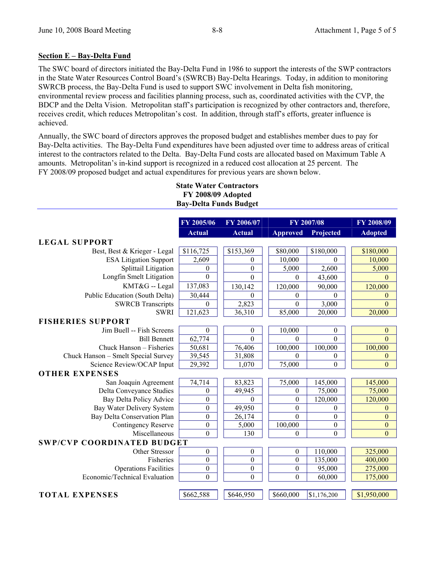#### **Section E – Bay-Delta Fund**

The SWC board of directors initiated the Bay-Delta Fund in 1986 to support the interests of the SWP contractors in the State Water Resources Control Board's (SWRCB) Bay-Delta Hearings. Today, in addition to monitoring SWRCB process, the Bay-Delta Fund is used to support SWC involvement in Delta fish monitoring, environmental review process and facilities planning process, such as, coordinated activities with the CVP, the BDCP and the Delta Vision. Metropolitan staff's participation is recognized by other contractors and, therefore, receives credit, which reduces Metropolitan's cost. In addition, through staff's efforts, greater influence is achieved.

Annually, the SWC board of directors approves the proposed budget and establishes member dues to pay for Bay-Delta activities. The Bay-Delta Fund expenditures have been adjusted over time to address areas of critical interest to the contractors related to the Delta. Bay-Delta Fund costs are allocated based on Maximum Table A amounts. Metropolitan's in-kind support is recognized in a reduced cost allocation at 25 percent. The FY 2008/09 proposed budget and actual expenditures for previous years are shown below.

|                                     | FY 2005/06    | FY 2006/07       |                  | FY 2007/08       | FY 2008/09       |
|-------------------------------------|---------------|------------------|------------------|------------------|------------------|
|                                     | <b>Actual</b> | <b>Actual</b>    | <b>Approved</b>  | Projected        | <b>Adopted</b>   |
| <b>LEGAL SUPPORT</b>                |               |                  |                  |                  |                  |
| Best, Best & Krieger - Legal        | \$116,725     | \$153,369        | \$80,000         | \$180,000        | \$180,000        |
| <b>ESA Litigation Support</b>       | 2,609         | $\theta$         | 10,000           | $\Omega$         | 10,000           |
| Splittail Litigation                | $\theta$      | $\theta$         | 5,000            | 2,600            | 5,000            |
| Longfin Smelt Litigation            | $\theta$      | $\Omega$         | $\Omega$         | 43,600           | $\Omega$         |
| KMT&G -- Legal                      | 137,083       | 130,142          | 120,000          | 90,000           | 120,000          |
| Public Education (South Delta)      | 30,444        | $\theta$         | $\theta$         | $\theta$         | $\theta$         |
| <b>SWRCB</b> Transcripts            | $\theta$      | 2,823            | $\Omega$         | 3,000            | $\Omega$         |
| <b>SWRI</b>                         | 121,623       | 36,310           | 85,000           | 20,000           | 20,000           |
| <b>FISHERIES SUPPORT</b>            |               |                  |                  |                  |                  |
| Jim Buell -- Fish Screens           | $\theta$      | $\mathbf{0}$     | 10,000           | $\theta$         | $\theta$         |
| <b>Bill Bennett</b>                 | 62,774        | $\Omega$         | $\Omega$         | $\Omega$         | $\overline{0}$   |
| Chuck Hanson – Fisheries            | 50,681        | 76,406           | 100,000          | 100,000          | 100,000          |
| Chuck Hanson - Smelt Special Survey | 39,545        | 31,808           | $\Omega$         | $\theta$         | $\mathbf{0}$     |
| Science Review/OCAP Input           | 29,392        | 1,070            | 75,000           | $\theta$         | $\theta$         |
| <b>OTHER EXPENSES</b>               |               |                  |                  |                  |                  |
| San Joaquin Agreement               | 74,714        | 83,823           | 75,000           | 145,000          | 145,000          |
| Delta Conveyance Studies            | $\theta$      | 49,945           | $\theta$         | 75,000           | 75,000           |
| Bay Delta Policy Advice             | $\mathbf{0}$  | $\theta$         | $\boldsymbol{0}$ | 120,000          | 120,000          |
| Bay Water Delivery System           | $\theta$      | 49,950           | $\boldsymbol{0}$ | $\theta$         | $\mathbf{0}$     |
| Bay Delta Conservation Plan         | $\theta$      | 26,174           | $\Omega$         | $\boldsymbol{0}$ | $\mathbf{0}$     |
| Contingency Reserve                 | $\mathbf{0}$  | 5,000            | 100,000          | $\boldsymbol{0}$ | $\boldsymbol{0}$ |
| Miscellaneous                       | $\theta$      | 130              | $\Omega$         | $\theta$         | $\theta$         |
| <b>SWP/CVP COORDINATED BUDGET</b>   |               |                  |                  |                  |                  |
| Other Stressor                      | $\theta$      | $\theta$         | $\theta$         | 110,000          | 325,000          |
| <b>Fisheries</b>                    | $\theta$      | $\theta$         | $\theta$         | 135,000          | 400,000          |
| <b>Operations Facilities</b>        | $\mathbf{0}$  | $\boldsymbol{0}$ | $\boldsymbol{0}$ | 95,000           | 275,000          |
| Economic/Technical Evaluation       | $\mathbf{0}$  | $\theta$         | $\theta$         | 60,000           | 175,000          |
|                                     |               |                  |                  |                  |                  |
| <b>TOTAL EXPENSES</b>               | \$662,588     | \$646,950        | \$660,000        | \$1,176,200      | \$1,950,000      |

#### **State Water Contractors FY 2008/09 Adopted Bay-Delta Funds Budget**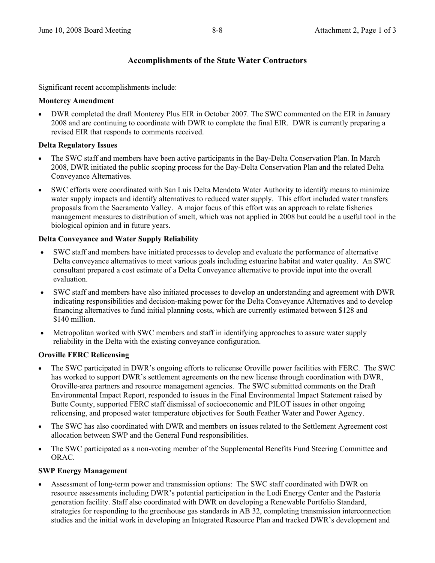## **Accomplishments of the State Water Contractors**

Significant recent accomplishments include:

#### **Monterey Amendment**

• DWR completed the draft Monterey Plus EIR in October 2007. The SWC commented on the EIR in January 2008 and are continuing to coordinate with DWR to complete the final EIR. DWR is currently preparing a revised EIR that responds to comments received.

### **Delta Regulatory Issues**

- The SWC staff and members have been active participants in the Bay-Delta Conservation Plan. In March 2008, DWR initiated the public scoping process for the Bay-Delta Conservation Plan and the related Delta Conveyance Alternatives.
- SWC efforts were coordinated with San Luis Delta Mendota Water Authority to identify means to minimize water supply impacts and identify alternatives to reduced water supply. This effort included water transfers proposals from the Sacramento Valley. A major focus of this effort was an approach to relate fisheries management measures to distribution of smelt, which was not applied in 2008 but could be a useful tool in the biological opinion and in future years.

### **Delta Conveyance and Water Supply Reliability**

- SWC staff and members have initiated processes to develop and evaluate the performance of alternative Delta conveyance alternatives to meet various goals including estuarine habitat and water quality. An SWC consultant prepared a cost estimate of a Delta Conveyance alternative to provide input into the overall evaluation.
- SWC staff and members have also initiated processes to develop an understanding and agreement with DWR indicating responsibilities and decision-making power for the Delta Conveyance Alternatives and to develop financing alternatives to fund initial planning costs, which are currently estimated between \$128 and \$140 million.
- Metropolitan worked with SWC members and staff in identifying approaches to assure water supply reliability in the Delta with the existing conveyance configuration.

### **Oroville FERC Relicensing**

- The SWC participated in DWR's ongoing efforts to relicense Oroville power facilities with FERC. The SWC has worked to support DWR's settlement agreements on the new license through coordination with DWR, Oroville-area partners and resource management agencies. The SWC submitted comments on the Draft Environmental Impact Report, responded to issues in the Final Environmental Impact Statement raised by Butte County, supported FERC staff dismissal of socioeconomic and PILOT issues in other ongoing relicensing, and proposed water temperature objectives for South Feather Water and Power Agency.
- The SWC has also coordinated with DWR and members on issues related to the Settlement Agreement cost allocation between SWP and the General Fund responsibilities.
- The SWC participated as a non-voting member of the Supplemental Benefits Fund Steering Committee and ORAC.

### **SWP Energy Management**

• Assessment of long-term power and transmission options: The SWC staff coordinated with DWR on resource assessments including DWR's potential participation in the Lodi Energy Center and the Pastoria generation facility. Staff also coordinated with DWR on developing a Renewable Portfolio Standard, strategies for responding to the greenhouse gas standards in AB 32, completing transmission interconnection studies and the initial work in developing an Integrated Resource Plan and tracked DWR's development and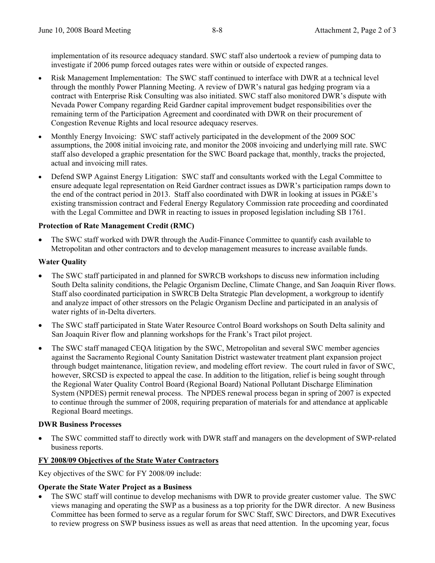implementation of its resource adequacy standard. SWC staff also undertook a review of pumping data to investigate if 2006 pump forced outages rates were within or outside of expected ranges.

- Risk Management Implementation: The SWC staff continued to interface with DWR at a technical level through the monthly Power Planning Meeting. A review of DWR's natural gas hedging program via a contract with Enterprise Risk Consulting was also initiated. SWC staff also monitored DWR's dispute with Nevada Power Company regarding Reid Gardner capital improvement budget responsibilities over the remaining term of the Participation Agreement and coordinated with DWR on their procurement of Congestion Revenue Rights and local resource adequacy reserves.
- Monthly Energy Invoicing: SWC staff actively participated in the development of the 2009 SOC assumptions, the 2008 initial invoicing rate, and monitor the 2008 invoicing and underlying mill rate. SWC staff also developed a graphic presentation for the SWC Board package that, monthly, tracks the projected, actual and invoicing mill rates.
- Defend SWP Against Energy Litigation: SWC staff and consultants worked with the Legal Committee to ensure adequate legal representation on Reid Gardner contract issues as DWR's participation ramps down to the end of the contract period in 2013. Staff also coordinated with DWR in looking at issues in PG&E's existing transmission contract and Federal Energy Regulatory Commission rate proceeding and coordinated with the Legal Committee and DWR in reacting to issues in proposed legislation including SB 1761.

### **Protection of Rate Management Credit (RMC)**

• The SWC staff worked with DWR through the Audit-Finance Committee to quantify cash available to Metropolitan and other contractors and to develop management measures to increase available funds.

### **Water Quality**

- The SWC staff participated in and planned for SWRCB workshops to discuss new information including South Delta salinity conditions, the Pelagic Organism Decline, Climate Change, and San Joaquin River flows. Staff also coordinated participation in SWRCB Delta Strategic Plan development, a workgroup to identify and analyze impact of other stressors on the Pelagic Organism Decline and participated in an analysis of water rights of in-Delta diverters.
- The SWC staff participated in State Water Resource Control Board workshops on South Delta salinity and San Joaquin River flow and planning workshops for the Frank's Tract pilot project.
- The SWC staff managed CEQA litigation by the SWC, Metropolitan and several SWC member agencies against the Sacramento Regional County Sanitation District wastewater treatment plant expansion project through budget maintenance, litigation review, and modeling effort review. The court ruled in favor of SWC, however, SRCSD is expected to appeal the case. In addition to the litigation, relief is being sought through the Regional Water Quality Control Board (Regional Board) National Pollutant Discharge Elimination System (NPDES) permit renewal process. The NPDES renewal process began in spring of 2007 is expected to continue through the summer of 2008, requiring preparation of materials for and attendance at applicable Regional Board meetings.

#### **DWR Business Processes**

• The SWC committed staff to directly work with DWR staff and managers on the development of SWP-related business reports.

### **FY 2008/09 Objectives of the State Water Contractors**

Key objectives of the SWC for FY 2008/09 include:

### **Operate the State Water Project as a Business**

• The SWC staff will continue to develop mechanisms with DWR to provide greater customer value. The SWC views managing and operating the SWP as a business as a top priority for the DWR director. A new Business Committee has been formed to serve as a regular forum for SWC Staff, SWC Directors, and DWR Executives to review progress on SWP business issues as well as areas that need attention. In the upcoming year, focus